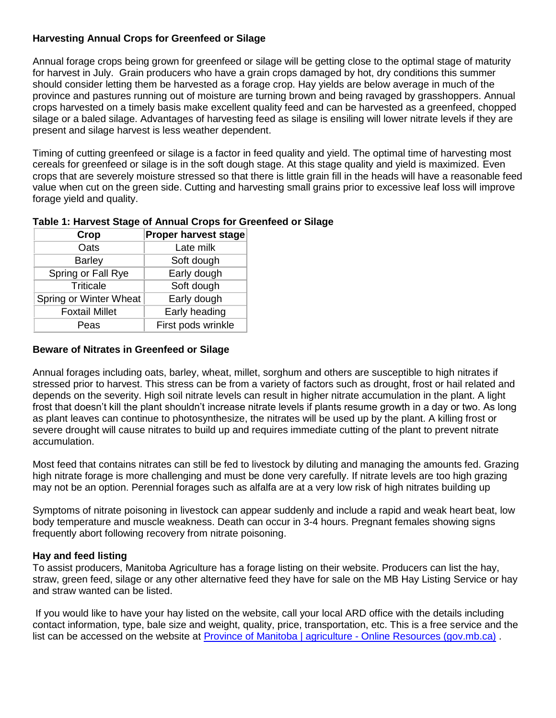# **Harvesting Annual Crops for Greenfeed or Silage**

Annual forage crops being grown for greenfeed or silage will be getting close to the optimal stage of maturity for harvest in July. Grain producers who have a grain crops damaged by hot, dry conditions this summer should consider letting them be harvested as a forage crop. Hay yields are below average in much of the province and pastures running out of moisture are turning brown and being ravaged by grasshoppers. Annual crops harvested on a timely basis make excellent quality feed and can be harvested as a greenfeed, chopped silage or a baled silage. Advantages of harvesting feed as silage is ensiling will lower nitrate levels if they are present and silage harvest is less weather dependent.

Timing of cutting greenfeed or silage is a factor in feed quality and yield. The optimal time of harvesting most cereals for greenfeed or silage is in the soft dough stage. At this stage quality and yield is maximized. Even crops that are severely moisture stressed so that there is little grain fill in the heads will have a reasonable feed value when cut on the green side. Cutting and harvesting small grains prior to excessive leaf loss will improve forage yield and quality.

# **Table 1: Harvest Stage of Annual Crops for Greenfeed or Silage**

| Crop                   | <b>Proper harvest stage</b> |
|------------------------|-----------------------------|
| Oats                   | Late milk                   |
| <b>Barley</b>          | Soft dough                  |
| Spring or Fall Rye     | Early dough                 |
| <b>Triticale</b>       | Soft dough                  |
| Spring or Winter Wheat | Early dough                 |
| <b>Foxtail Millet</b>  | Early heading               |
| Peas                   | First pods wrinkle          |

### **Beware of Nitrates in Greenfeed or Silage**

Annual forages including oats, barley, wheat, millet, sorghum and others are susceptible to high nitrates if stressed prior to harvest. This stress can be from a variety of factors such as drought, frost or hail related and depends on the severity. High soil nitrate levels can result in higher nitrate accumulation in the plant. A light frost that doesn't kill the plant shouldn't increase nitrate levels if plants resume growth in a day or two. As long as plant leaves can continue to photosynthesize, the nitrates will be used up by the plant. A killing frost or severe drought will cause nitrates to build up and requires immediate cutting of the plant to prevent nitrate accumulation.

Most feed that contains nitrates can still be fed to livestock by diluting and managing the amounts fed. Grazing high nitrate forage is more challenging and must be done very carefully. If nitrate levels are too high grazing may not be an option. Perennial forages such as alfalfa are at a very low risk of high nitrates building up

Symptoms of nitrate poisoning in livestock can appear suddenly and include a rapid and weak heart beat, low body temperature and muscle weakness. Death can occur in 3-4 hours. Pregnant females showing signs frequently abort following recovery from nitrate poisoning.

### **Hay and feed listing**

To assist producers, Manitoba Agriculture has a forage listing on their website. Producers can list the hay, straw, green feed, silage or any other alternative feed they have for sale on the MB Hay Listing Service or hay and straw wanted can be listed.

If you would like to have your hay listed on the website, call your local ARD office with the details including contact information, type, bale size and weight, quality, price, transportation, etc. This is a free service and the list can be accessed on the website at [Province of Manitoba | agriculture -](https://www.gov.mb.ca/agriculture/online-resources/index.html) Online Resources (gov.mb.ca).